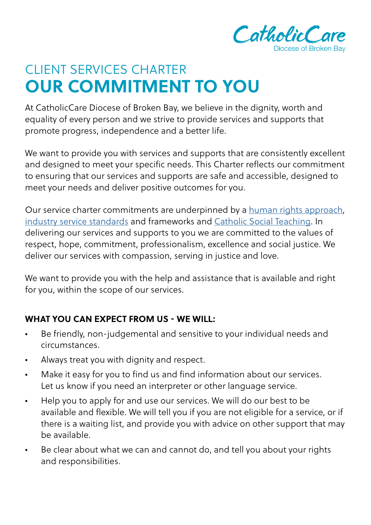

## **OUR COMMITMENT TO YOU** CLIENT SERVICES CHARTER

At CatholicCare Diocese of Broken Bay, we believe in the dignity, worth and equality of every person and we strive to provide services and supports that promote progress, independence and a better life.

We want to provide you with services and supports that are consistently excellent and designed to meet your specific needs. This Charter reflects our commitment to ensuring that our services and supports are safe and accessible, designed to meet your needs and deliver positive outcomes for you.

Our service charter commitments are underpinned by a [human rights approach,](https://www.catholiccaredbb.org.au/wp-content/uploads/UN-charter-link.pdf) [industry service standards](https://www.catholiccaredbb.org.au/wp-content/uploads/IS-charter-link.pdf) and frameworks and [Catholic Social Teaching.](https://www.catholiccaredbb.org.au/wp-content/uploads/Catholic-Social-Teaching.pdf) In delivering our services and supports to you we are committed to the values of respect, hope, commitment, professionalism, excellence and social justice. We deliver our services with compassion, serving in justice and love.

We want to provide you with the help and assistance that is available and right for you, within the scope of our services.

## **WHAT YOU CAN EXPECT FROM US - WE WILL:**

- Be friendly, non-judgemental and sensitive to your individual needs and circumstances.
- Always treat you with dignity and respect.
- Make it easy for you to find us and find information about our services. Let us know if you need an interpreter or other language service.
- Help you to apply for and use our services. We will do our best to be available and flexible. We will tell you if you are not eligible for a service, or if there is a waiting list, and provide you with advice on other support that may be available.
- Be clear about what we can and cannot do, and tell you about your rights and responsibilities.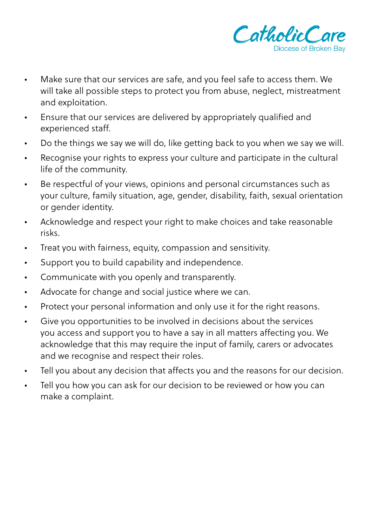

- Make sure that our services are safe, and you feel safe to access them. We will take all possible steps to protect you from abuse, neglect, mistreatment and exploitation.
- Ensure that our services are delivered by appropriately qualified and experienced staff.
- Do the things we say we will do, like getting back to you when we say we will.
- Recognise your rights to express your culture and participate in the cultural life of the community.
- Be respectful of your views, opinions and personal circumstances such as your culture, family situation, age, gender, disability, faith, sexual orientation or gender identity.
- Acknowledge and respect your right to make choices and take reasonable risks.
- Treat you with fairness, equity, compassion and sensitivity.
- Support you to build capability and independence.
- Communicate with you openly and transparently.
- Advocate for change and social justice where we can.
- Protect your personal information and only use it for the right reasons.
- Give you opportunities to be involved in decisions about the services you access and support you to have a say in all matters affecting you. We acknowledge that this may require the input of family, carers or advocates and we recognise and respect their roles.
- Tell you about any decision that affects you and the reasons for our decision.
- Tell you how you can ask for our decision to be reviewed or how you can make a complaint.